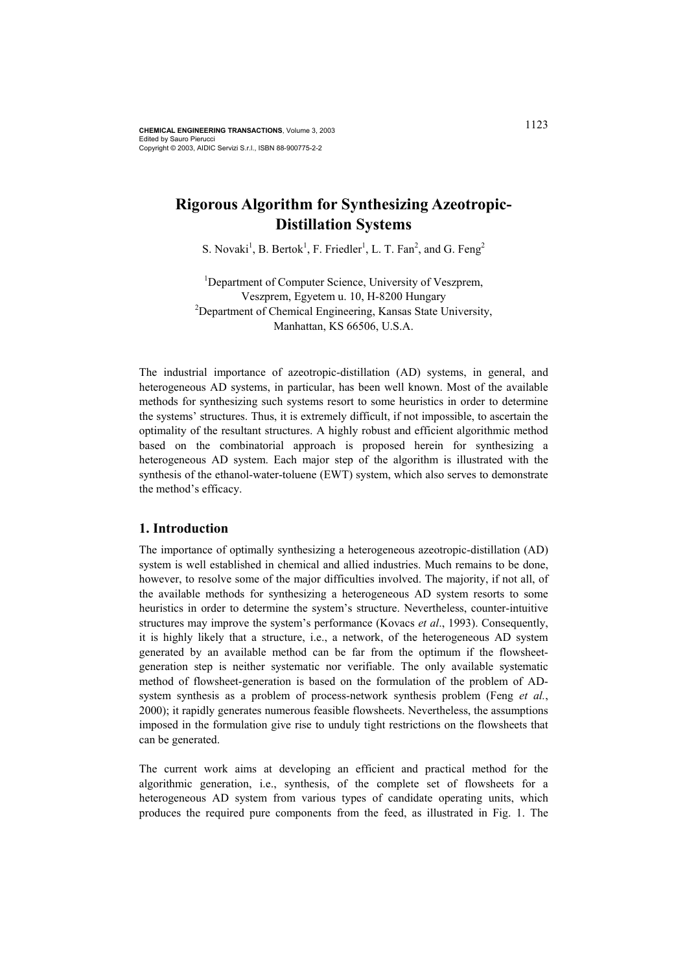# **Rigorous Algorithm for Synthesizing Azeotropic-Distillation Systems**

S. Novaki<sup>1</sup>, B. Bertok<sup>1</sup>, F. Friedler<sup>1</sup>, L. T. Fan<sup>2</sup>, and G. Feng<sup>2</sup>

<sup>1</sup>Department of Computer Science, University of Veszprem, Veszprem, Egyetem u. 10, H-8200 Hungary <sup>2</sup>Department of Chemical Engineering, Kansas State University, Manhattan, KS 66506, U.S.A.

The industrial importance of azeotropic-distillation (AD) systems, in general, and heterogeneous AD systems, in particular, has been well known. Most of the available methods for synthesizing such systems resort to some heuristics in order to determine the systems' structures. Thus, it is extremely difficult, if not impossible, to ascertain the optimality of the resultant structures. A highly robust and efficient algorithmic method based on the combinatorial approach is proposed herein for synthesizing a heterogeneous AD system. Each major step of the algorithm is illustrated with the synthesis of the ethanol-water-toluene (EWT) system, which also serves to demonstrate the method's efficacy.

### **1. Introduction**

The importance of optimally synthesizing a heterogeneous azeotropic-distillation (AD) system is well established in chemical and allied industries. Much remains to be done, however, to resolve some of the major difficulties involved. The majority, if not all, of the available methods for synthesizing a heterogeneous AD system resorts to some heuristics in order to determine the system's structure. Nevertheless, counter-intuitive structures may improve the system's performance (Kovacs *et al*., 1993). Consequently, it is highly likely that a structure, i.e., a network, of the heterogeneous AD system generated by an available method can be far from the optimum if the flowsheetgeneration step is neither systematic nor verifiable. The only available systematic method of flowsheet-generation is based on the formulation of the problem of ADsystem synthesis as a problem of process-network synthesis problem (Feng *et al.*, 2000); it rapidly generates numerous feasible flowsheets. Nevertheless, the assumptions imposed in the formulation give rise to unduly tight restrictions on the flowsheets that can be generated.

The current work aims at developing an efficient and practical method for the algorithmic generation, i.e., synthesis, of the complete set of flowsheets for a heterogeneous AD system from various types of candidate operating units, which produces the required pure components from the feed, as illustrated in Fig. 1. The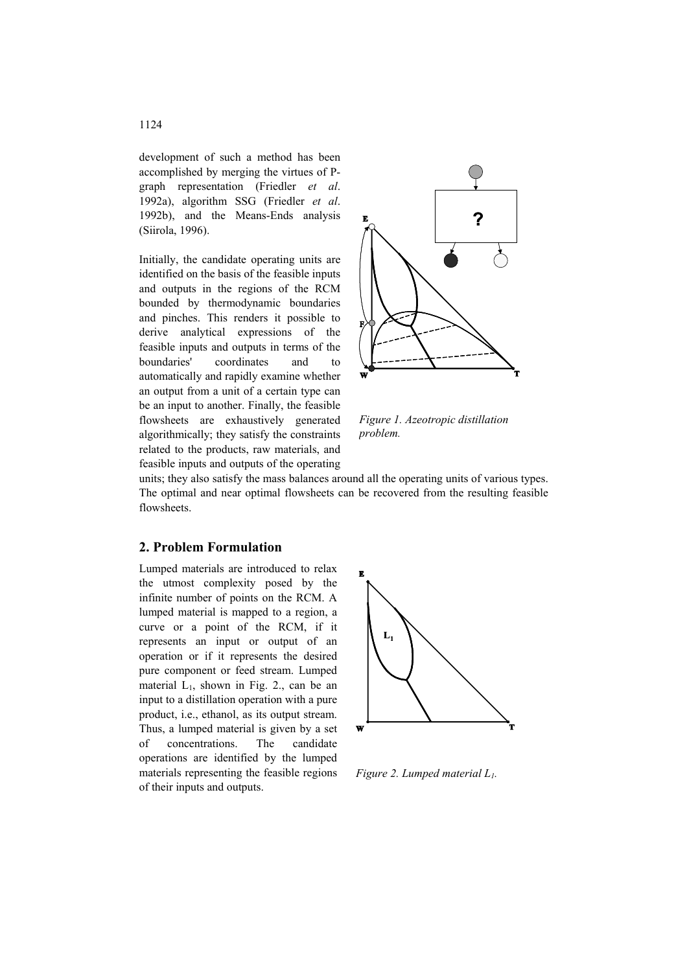development of such a method has been accomplished by merging the virtues of Pgraph representation (Friedler *et al*. 1992a), algorithm SSG (Friedler *et al*. 1992b), and the Means-Ends analysis (Siirola, 1996).

Initially, the candidate operating units are identified on the basis of the feasible inputs and outputs in the regions of the RCM bounded by thermodynamic boundaries and pinches. This renders it possible to derive analytical expressions of the feasible inputs and outputs in terms of the boundaries' coordinates and to automatically and rapidly examine whether an output from a unit of a certain type can be an input to another. Finally, the feasible flowsheets are exhaustively generated algorithmically; they satisfy the constraints related to the products, raw materials, and feasible inputs and outputs of the operating



*Figure 1. Azeotropic distillation problem.* 

units; they also satisfy the mass balances around all the operating units of various types. The optimal and near optimal flowsheets can be recovered from the resulting feasible flowsheets.

#### **2. Problem Formulation**

Lumped materials are introduced to relax the utmost complexity posed by the infinite number of points on the RCM. A lumped material is mapped to a region, a curve or a point of the RCM, if it represents an input or output of an operation or if it represents the desired pure component or feed stream. Lumped material  $L_1$ , shown in Fig. 2., can be an input to a distillation operation with a pure product, i.e., ethanol, as its output stream. Thus, a lumped material is given by a set of concentrations. The candidate operations are identified by the lumped materials representing the feasible regions of their inputs and outputs.



*Figure 2. Lumped material L1.*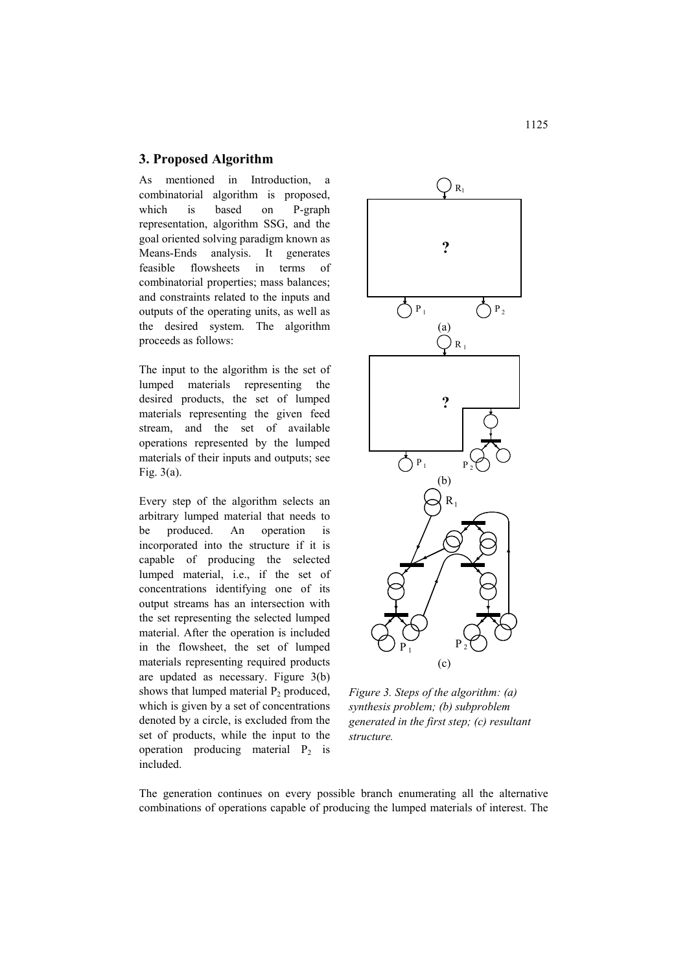### **3. Proposed Algorithm**

As mentioned in Introduction, a combinatorial algorithm is proposed, which is based on P-graph representation, algorithm SSG, and the goal oriented solving paradigm known as Means-Ends analysis. It generates feasible flowsheets in terms of combinatorial properties; mass balances; and constraints related to the inputs and outputs of the operating units, as well as the desired system. The algorithm proceeds as follows:

The input to the algorithm is the set of lumped materials representing the desired products, the set of lumped materials representing the given feed stream, and the set of available operations represented by the lumped materials of their inputs and outputs; see Fig. 3(a).

Every step of the algorithm selects an arbitrary lumped material that needs to be produced. An operation is incorporated into the structure if it is capable of producing the selected lumped material, i.e., if the set of concentrations identifying one of its output streams has an intersection with the set representing the selected lumped material. After the operation is included in the flowsheet, the set of lumped materials representing required products are updated as necessary. Figure 3(b) shows that lumped material  $P_2$  produced, which is given by a set of concentrations denoted by a circle, is excluded from the set of products, while the input to the operation producing material  $P_2$  is included.



*Figure 3. Steps of the algorithm: (a) synthesis problem; (b) subproblem generated in the first step; (c) resultant structure.*

The generation continues on every possible branch enumerating all the alternative combinations of operations capable of producing the lumped materials of interest. The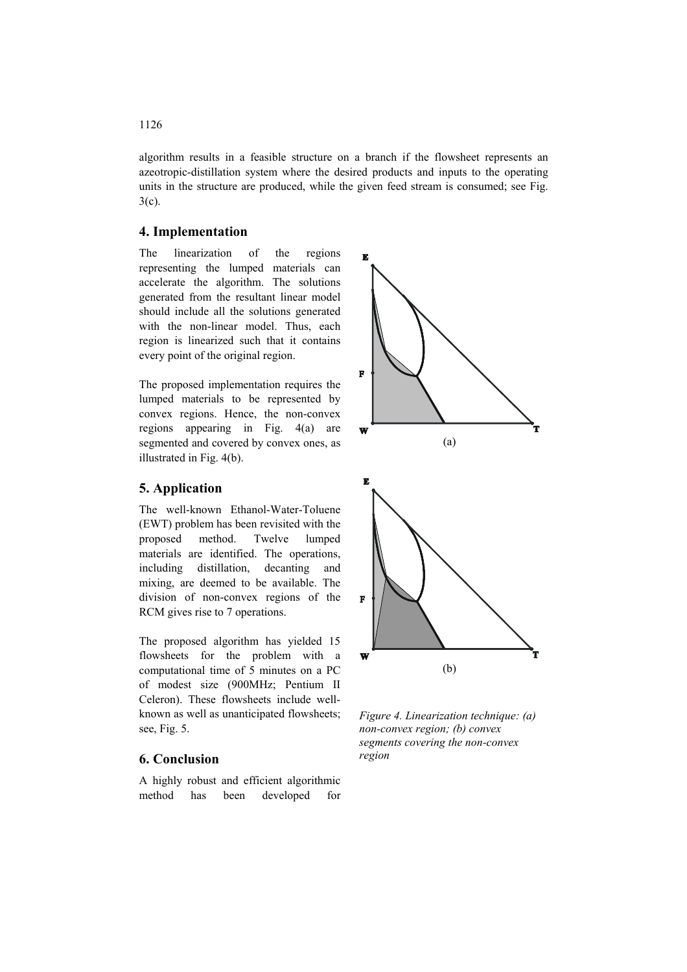algorithm results in a feasible structure on a branch if the flowsheet represents an azeotropic-distillation system where the desired products and inputs to the operating units in the structure are produced, while the given feed stream is consumed; see Fig. 3(c).

#### **4. Implementation**

The linearization of the regions representing the lumped materials can accelerate the algorithm. The solutions generated from the resultant linear model should include all the solutions generated with the non-linear model. Thus, each region is linearized such that it contains every point of the original region.

The proposed implementation requires the lumped materials to be represented by convex regions. Hence, the non-convex regions appearing in Fig. 4(a) are segmented and covered by convex ones, as illustrated in Fig. 4(b).

## **5. Application**

The well-known Ethanol-Water-Toluene (EWT) problem has been revisited with the proposed method. Twelve lumped materials are identified. The operations, including distillation, decanting and mixing, are deemed to be available. The division of non-convex regions of the RCM gives rise to 7 operations.

The proposed algorithm has yielded 15 flowsheets for the problem with a computational time of 5 minutes on a PC of modest size (900MHz; Pentium II Celeron). These flowsheets include wellknown as well as unanticipated flowsheets; see, Fig. 5.

# **6. Conclusion**

A highly robust and efficient algorithmic method has been developed for



*Figure 4. Linearization technique: (a) non-convex region; (b) convex segments covering the non-convex region* 

#### 1126